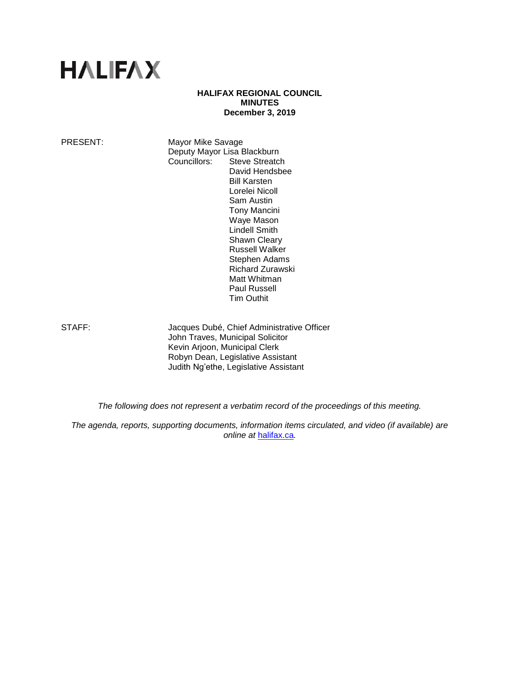# **HALIFAX**

# **HALIFAX REGIONAL COUNCIL MINUTES December 3, 2019**

PRESENT: Mayor Mike Savage Deputy Mayor Lisa Blackburn Councillors: Steve Streatch David Hendsbee Bill Karsten Lorelei Nicoll Sam Austin Tony Mancini Waye Mason Lindell Smith Shawn Cleary Russell Walker Stephen Adams Richard Zurawski Matt Whitman Paul Russell

STAFF: Jacques Dubé, Chief Administrative Officer John Traves, Municipal Solicitor Kevin Arjoon, Municipal Clerk Robyn Dean, Legislative Assistant Judith Ng'ethe, Legislative Assistant

Tim Outhit

*The following does not represent a verbatim record of the proceedings of this meeting.*

*The agenda, reports, supporting documents, information items circulated, and video (if available) are online at* [halifax.ca](http://www.halifax.ca/)*.*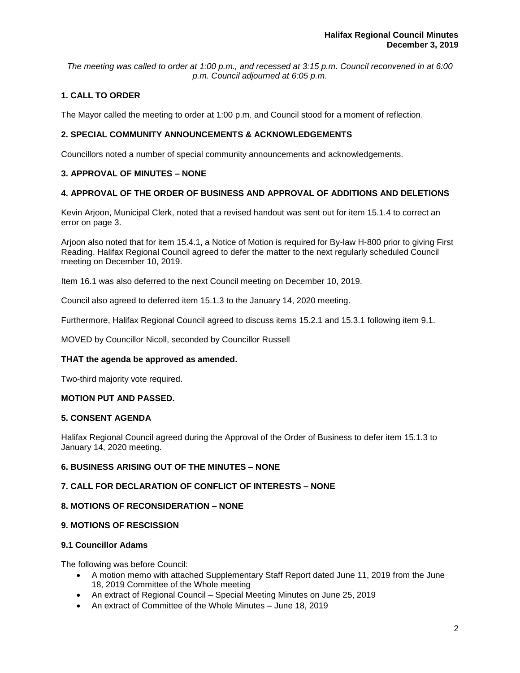*The meeting was called to order at 1:00 p.m., and recessed at 3:15 p.m. Council reconvened in at 6:00 p.m. Council adjourned at 6:05 p.m.*

# **1. CALL TO ORDER**

The Mayor called the meeting to order at 1:00 p.m. and Council stood for a moment of reflection.

# **2. SPECIAL COMMUNITY ANNOUNCEMENTS & ACKNOWLEDGEMENTS**

Councillors noted a number of special community announcements and acknowledgements.

# **3. APPROVAL OF MINUTES – NONE**

# **4. APPROVAL OF THE ORDER OF BUSINESS AND APPROVAL OF ADDITIONS AND DELETIONS**

Kevin Arjoon, Municipal Clerk, noted that a revised handout was sent out for item 15.1.4 to correct an error on page 3.

Arjoon also noted that for item 15.4.1, a Notice of Motion is required for By-law H-800 prior to giving First Reading. Halifax Regional Council agreed to defer the matter to the next regularly scheduled Council meeting on December 10, 2019.

Item 16.1 was also deferred to the next Council meeting on December 10, 2019.

Council also agreed to deferred item 15.1.3 to the January 14, 2020 meeting.

Furthermore, Halifax Regional Council agreed to discuss items 15.2.1 and 15.3.1 following item 9.1.

MOVED by Councillor Nicoll, seconded by Councillor Russell

# **THAT the agenda be approved as amended.**

Two-third majority vote required.

# **MOTION PUT AND PASSED.**

# **5. CONSENT AGENDA**

Halifax Regional Council agreed during the Approval of the Order of Business to defer item 15.1.3 to January 14, 2020 meeting.

# **6. BUSINESS ARISING OUT OF THE MINUTES – NONE**

# **7. CALL FOR DECLARATION OF CONFLICT OF INTERESTS – NONE**

# **8. MOTIONS OF RECONSIDERATION – NONE**

# **9. MOTIONS OF RESCISSION**

# **9.1 Councillor Adams**

The following was before Council:

- A motion memo with attached Supplementary Staff Report dated June 11, 2019 from the June 18, 2019 Committee of the Whole meeting
- An extract of Regional Council Special Meeting Minutes on June 25, 2019
- An extract of Committee of the Whole Minutes June 18, 2019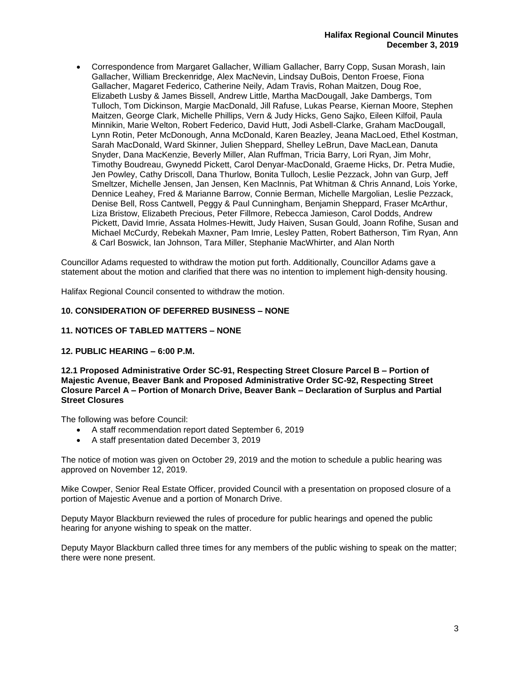• Correspondence from Margaret Gallacher, William Gallacher, Barry Copp, Susan Morash, Iain Gallacher, William Breckenridge, Alex MacNevin, Lindsay DuBois, Denton Froese, Fiona Gallacher, Magaret Federico, Catherine Neily, Adam Travis, Rohan Maitzen, Doug Roe, Elizabeth Lusby & James Bissell, Andrew Little, Martha MacDougall, Jake Dambergs, Tom Tulloch, Tom Dickinson, Margie MacDonald, Jill Rafuse, Lukas Pearse, Kiernan Moore, Stephen Maitzen, George Clark, Michelle Phillips, Vern & Judy Hicks, Geno Sajko, Eileen Kilfoil, Paula Minnikin, Marie Welton, Robert Federico, David Hutt, Jodi Asbell-Clarke, Graham MacDougall, Lynn Rotin, Peter McDonough, Anna McDonald, Karen Beazley, Jeana MacLoed, Ethel Kostman, Sarah MacDonald, Ward Skinner, Julien Sheppard, Shelley LeBrun, Dave MacLean, Danuta Snyder, Dana MacKenzie, Beverly Miller, Alan Ruffman, Tricia Barry, Lori Ryan, Jim Mohr, Timothy Boudreau, Gwynedd Pickett, Carol Denyar-MacDonald, Graeme Hicks, Dr. Petra Mudie, Jen Powley, Cathy Driscoll, Dana Thurlow, Bonita Tulloch, Leslie Pezzack, John van Gurp, Jeff Smeltzer, Michelle Jensen, Jan Jensen, Ken MacInnis, Pat Whitman & Chris Annand, Lois Yorke, Dennice Leahey, Fred & Marianne Barrow, Connie Berman, Michelle Margolian, Leslie Pezzack, Denise Bell, Ross Cantwell, Peggy & Paul Cunningham, Benjamin Sheppard, Fraser McArthur, Liza Bristow, Elizabeth Precious, Peter Fillmore, Rebecca Jamieson, Carol Dodds, Andrew Pickett, David Imrie, Assata Holmes-Hewitt, Judy Haiven, Susan Gould, Joann Rofihe, Susan and Michael McCurdy, Rebekah Maxner, Pam Imrie, Lesley Patten, Robert Batherson, Tim Ryan, Ann & Carl Boswick, Ian Johnson, Tara Miller, Stephanie MacWhirter, and Alan North

Councillor Adams requested to withdraw the motion put forth. Additionally, Councillor Adams gave a statement about the motion and clarified that there was no intention to implement high-density housing.

Halifax Regional Council consented to withdraw the motion.

# **10. CONSIDERATION OF DEFERRED BUSINESS – NONE**

# **11. NOTICES OF TABLED MATTERS – NONE**

# **12. PUBLIC HEARING – 6:00 P.M.**

**12.1 Proposed Administrative Order SC-91, Respecting Street Closure Parcel B – Portion of Majestic Avenue, Beaver Bank and Proposed Administrative Order SC-92, Respecting Street Closure Parcel A – Portion of Monarch Drive, Beaver Bank – Declaration of Surplus and Partial Street Closures**

The following was before Council:

- A staff recommendation report dated September 6, 2019
- A staff presentation dated December 3, 2019

The notice of motion was given on October 29, 2019 and the motion to schedule a public hearing was approved on November 12, 2019.

Mike Cowper, Senior Real Estate Officer, provided Council with a presentation on proposed closure of a portion of Majestic Avenue and a portion of Monarch Drive.

Deputy Mayor Blackburn reviewed the rules of procedure for public hearings and opened the public hearing for anyone wishing to speak on the matter.

Deputy Mayor Blackburn called three times for any members of the public wishing to speak on the matter; there were none present.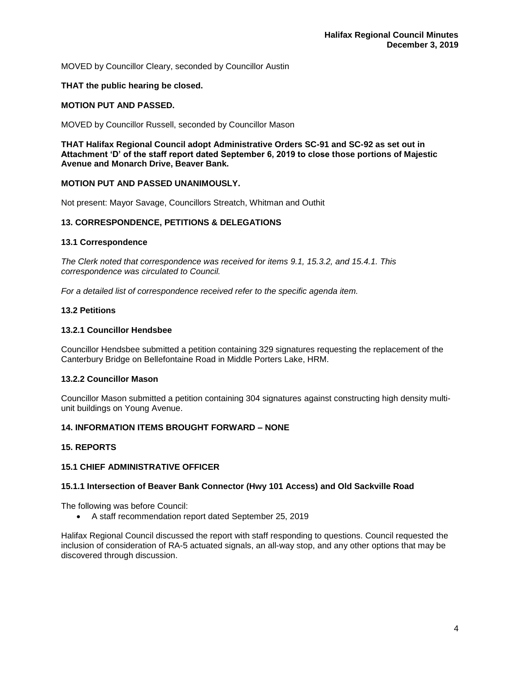MOVED by Councillor Cleary, seconded by Councillor Austin

## **THAT the public hearing be closed.**

#### **MOTION PUT AND PASSED.**

MOVED by Councillor Russell, seconded by Councillor Mason

**THAT Halifax Regional Council adopt Administrative Orders SC-91 and SC-92 as set out in Attachment 'D' of the staff report dated September 6, 2019 to close those portions of Majestic Avenue and Monarch Drive, Beaver Bank.**

# **MOTION PUT AND PASSED UNANIMOUSLY.**

Not present: Mayor Savage, Councillors Streatch, Whitman and Outhit

#### **13. CORRESPONDENCE, PETITIONS & DELEGATIONS**

#### **13.1 Correspondence**

*The Clerk noted that correspondence was received for items 9.1, 15.3.2, and 15.4.1. This correspondence was circulated to Council.*

*For a detailed list of correspondence received refer to the specific agenda item.* 

## **13.2 Petitions**

#### **13.2.1 Councillor Hendsbee**

Councillor Hendsbee submitted a petition containing 329 signatures requesting the replacement of the Canterbury Bridge on Bellefontaine Road in Middle Porters Lake, HRM.

## **13.2.2 Councillor Mason**

Councillor Mason submitted a petition containing 304 signatures against constructing high density multiunit buildings on Young Avenue.

# **14. INFORMATION ITEMS BROUGHT FORWARD – NONE**

#### **15. REPORTS**

# **15.1 CHIEF ADMINISTRATIVE OFFICER**

#### **15.1.1 Intersection of Beaver Bank Connector (Hwy 101 Access) and Old Sackville Road**

The following was before Council:

• A staff recommendation report dated September 25, 2019

Halifax Regional Council discussed the report with staff responding to questions. Council requested the inclusion of consideration of RA-5 actuated signals, an all-way stop, and any other options that may be discovered through discussion.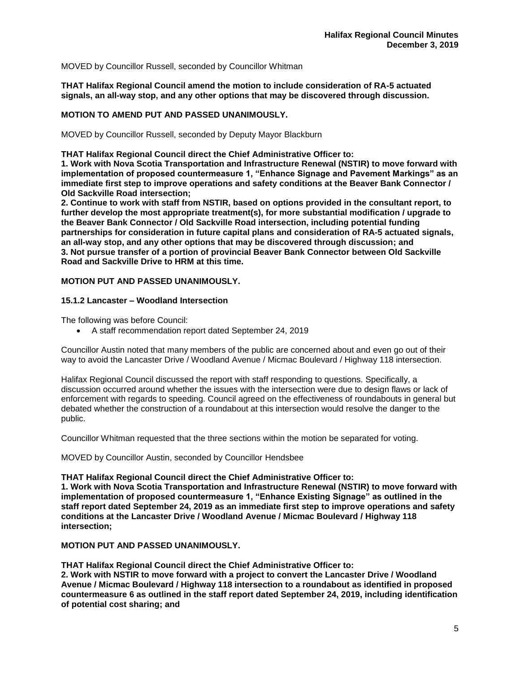MOVED by Councillor Russell, seconded by Councillor Whitman

**THAT Halifax Regional Council amend the motion to include consideration of RA-5 actuated signals, an all-way stop, and any other options that may be discovered through discussion.**

# **MOTION TO AMEND PUT AND PASSED UNANIMOUSLY.**

MOVED by Councillor Russell, seconded by Deputy Mayor Blackburn

**THAT Halifax Regional Council direct the Chief Administrative Officer to:**

**1. Work with Nova Scotia Transportation and Infrastructure Renewal (NSTIR) to move forward with implementation of proposed countermeasure 1, "Enhance Signage and Pavement Markings" as an immediate first step to improve operations and safety conditions at the Beaver Bank Connector / Old Sackville Road intersection;**

**2. Continue to work with staff from NSTIR, based on options provided in the consultant report, to further develop the most appropriate treatment(s), for more substantial modification / upgrade to the Beaver Bank Connector / Old Sackville Road intersection, including potential funding partnerships for consideration in future capital plans and consideration of RA-5 actuated signals, an all-way stop, and any other options that may be discovered through discussion; and 3. Not pursue transfer of a portion of provincial Beaver Bank Connector between Old Sackville Road and Sackville Drive to HRM at this time.**

# **MOTION PUT AND PASSED UNANIMOUSLY.**

# **15.1.2 Lancaster – Woodland Intersection**

The following was before Council:

• A staff recommendation report dated September 24, 2019

Councillor Austin noted that many members of the public are concerned about and even go out of their way to avoid the Lancaster Drive / Woodland Avenue / Micmac Boulevard / Highway 118 intersection.

Halifax Regional Council discussed the report with staff responding to questions. Specifically, a discussion occurred around whether the issues with the intersection were due to design flaws or lack of enforcement with regards to speeding. Council agreed on the effectiveness of roundabouts in general but debated whether the construction of a roundabout at this intersection would resolve the danger to the public.

Councillor Whitman requested that the three sections within the motion be separated for voting.

MOVED by Councillor Austin, seconded by Councillor Hendsbee

**THAT Halifax Regional Council direct the Chief Administrative Officer to:**

**1. Work with Nova Scotia Transportation and Infrastructure Renewal (NSTIR) to move forward with implementation of proposed countermeasure 1, "Enhance Existing Signage" as outlined in the staff report dated September 24, 2019 as an immediate first step to improve operations and safety conditions at the Lancaster Drive / Woodland Avenue / Micmac Boulevard / Highway 118 intersection;**

**MOTION PUT AND PASSED UNANIMOUSLY.** 

**THAT Halifax Regional Council direct the Chief Administrative Officer to:**

**2. Work with NSTIR to move forward with a project to convert the Lancaster Drive / Woodland Avenue / Micmac Boulevard / Highway 118 intersection to a roundabout as identified in proposed countermeasure 6 as outlined in the staff report dated September 24, 2019, including identification of potential cost sharing; and**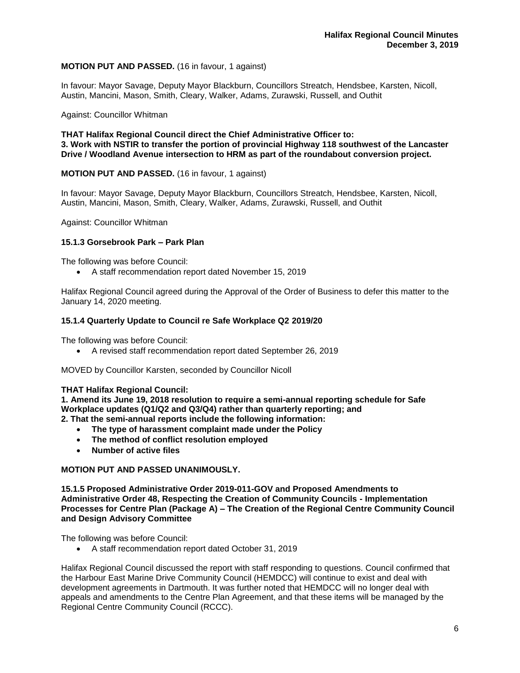# **MOTION PUT AND PASSED.** (16 in favour, 1 against)

In favour: Mayor Savage, Deputy Mayor Blackburn, Councillors Streatch, Hendsbee, Karsten, Nicoll, Austin, Mancini, Mason, Smith, Cleary, Walker, Adams, Zurawski, Russell, and Outhit

#### Against: Councillor Whitman

**THAT Halifax Regional Council direct the Chief Administrative Officer to: 3. Work with NSTIR to transfer the portion of provincial Highway 118 southwest of the Lancaster Drive / Woodland Avenue intersection to HRM as part of the roundabout conversion project.**

# **MOTION PUT AND PASSED.** (16 in favour, 1 against)

In favour: Mayor Savage, Deputy Mayor Blackburn, Councillors Streatch, Hendsbee, Karsten, Nicoll, Austin, Mancini, Mason, Smith, Cleary, Walker, Adams, Zurawski, Russell, and Outhit

Against: Councillor Whitman

# **15.1.3 Gorsebrook Park – Park Plan**

The following was before Council:

• A staff recommendation report dated November 15, 2019

Halifax Regional Council agreed during the Approval of the Order of Business to defer this matter to the January 14, 2020 meeting.

#### **15.1.4 Quarterly Update to Council re Safe Workplace Q2 2019/20**

The following was before Council:

• A revised staff recommendation report dated September 26, 2019

MOVED by Councillor Karsten, seconded by Councillor Nicoll

#### **THAT Halifax Regional Council:**

**1. Amend its June 19, 2018 resolution to require a semi-annual reporting schedule for Safe Workplace updates (Q1/Q2 and Q3/Q4) rather than quarterly reporting; and 2. That the semi-annual reports include the following information:**

- **The type of harassment complaint made under the Policy**
- **The method of conflict resolution employed**
- **Number of active files**

#### **MOTION PUT AND PASSED UNANIMOUSLY.**

**15.1.5 Proposed Administrative Order 2019-011-GOV and Proposed Amendments to Administrative Order 48, Respecting the Creation of Community Councils - Implementation Processes for Centre Plan (Package A) – The Creation of the Regional Centre Community Council and Design Advisory Committee**

The following was before Council:

• A staff recommendation report dated October 31, 2019

Halifax Regional Council discussed the report with staff responding to questions. Council confirmed that the Harbour East Marine Drive Community Council (HEMDCC) will continue to exist and deal with development agreements in Dartmouth. It was further noted that HEMDCC will no longer deal with appeals and amendments to the Centre Plan Agreement, and that these items will be managed by the Regional Centre Community Council (RCCC).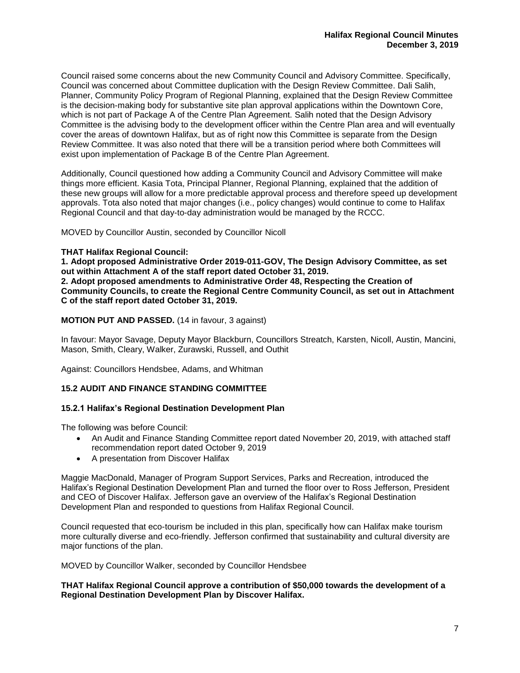Council raised some concerns about the new Community Council and Advisory Committee. Specifically, Council was concerned about Committee duplication with the Design Review Committee. Dali Salih, Planner, Community Policy Program of Regional Planning, explained that the Design Review Committee is the decision-making body for substantive site plan approval applications within the Downtown Core, which is not part of Package A of the Centre Plan Agreement. Salih noted that the Design Advisory Committee is the advising body to the development officer within the Centre Plan area and will eventually cover the areas of downtown Halifax, but as of right now this Committee is separate from the Design Review Committee. It was also noted that there will be a transition period where both Committees will exist upon implementation of Package B of the Centre Plan Agreement.

Additionally, Council questioned how adding a Community Council and Advisory Committee will make things more efficient. Kasia Tota, Principal Planner, Regional Planning, explained that the addition of these new groups will allow for a more predictable approval process and therefore speed up development approvals. Tota also noted that major changes (i.e., policy changes) would continue to come to Halifax Regional Council and that day-to-day administration would be managed by the RCCC.

MOVED by Councillor Austin, seconded by Councillor Nicoll

#### **THAT Halifax Regional Council:**

**1. Adopt proposed Administrative Order 2019-011-GOV, The Design Advisory Committee, as set out within Attachment A of the staff report dated October 31, 2019. 2. Adopt proposed amendments to Administrative Order 48, Respecting the Creation of Community Councils, to create the Regional Centre Community Council, as set out in Attachment C of the staff report dated October 31, 2019.**

**MOTION PUT AND PASSED.** (14 in favour, 3 against)

In favour: Mayor Savage, Deputy Mayor Blackburn, Councillors Streatch, Karsten, Nicoll, Austin, Mancini, Mason, Smith, Cleary, Walker, Zurawski, Russell, and Outhit

Against: Councillors Hendsbee, Adams, and Whitman

# **15.2 AUDIT AND FINANCE STANDING COMMITTEE**

# **15.2.1 Halifax's Regional Destination Development Plan**

The following was before Council:

- An Audit and Finance Standing Committee report dated November 20, 2019, with attached staff recommendation report dated October 9, 2019
- A presentation from Discover Halifax

Maggie MacDonald, Manager of Program Support Services, Parks and Recreation, introduced the Halifax's Regional Destination Development Plan and turned the floor over to Ross Jefferson, President and CEO of Discover Halifax. Jefferson gave an overview of the Halifax's Regional Destination Development Plan and responded to questions from Halifax Regional Council.

Council requested that eco-tourism be included in this plan, specifically how can Halifax make tourism more culturally diverse and eco-friendly. Jefferson confirmed that sustainability and cultural diversity are major functions of the plan.

MOVED by Councillor Walker, seconded by Councillor Hendsbee

**THAT Halifax Regional Council approve a contribution of \$50,000 towards the development of a Regional Destination Development Plan by Discover Halifax.**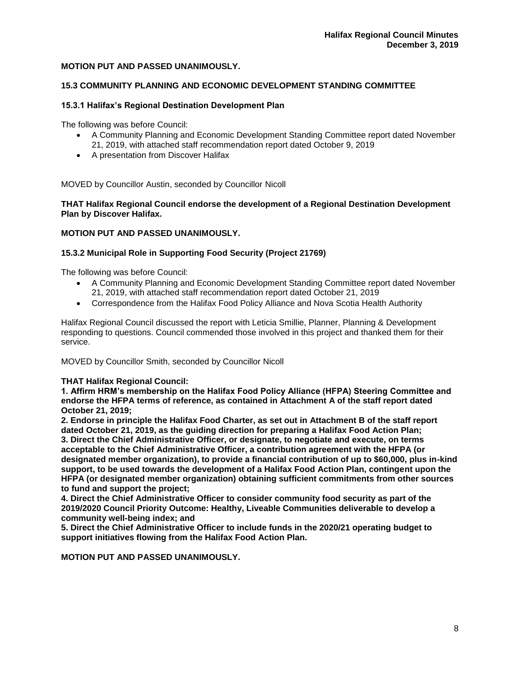# **MOTION PUT AND PASSED UNANIMOUSLY.**

# **15.3 COMMUNITY PLANNING AND ECONOMIC DEVELOPMENT STANDING COMMITTEE**

## **15.3.1 Halifax's Regional Destination Development Plan**

The following was before Council:

- A Community Planning and Economic Development Standing Committee report dated November 21, 2019, with attached staff recommendation report dated October 9, 2019
- A presentation from Discover Halifax

MOVED by Councillor Austin, seconded by Councillor Nicoll

**THAT Halifax Regional Council endorse the development of a Regional Destination Development Plan by Discover Halifax.**

# **MOTION PUT AND PASSED UNANIMOUSLY.**

#### **15.3.2 Municipal Role in Supporting Food Security (Project 21769)**

The following was before Council:

- A Community Planning and Economic Development Standing Committee report dated November 21, 2019, with attached staff recommendation report dated October 21, 2019
- Correspondence from the Halifax Food Policy Alliance and Nova Scotia Health Authority

Halifax Regional Council discussed the report with Leticia Smillie, Planner, Planning & Development responding to questions. Council commended those involved in this project and thanked them for their service.

MOVED by Councillor Smith, seconded by Councillor Nicoll

# **THAT Halifax Regional Council:**

**1. Affirm HRM's membership on the Halifax Food Policy Alliance (HFPA) Steering Committee and endorse the HFPA terms of reference, as contained in Attachment A of the staff report dated October 21, 2019;** 

**2. Endorse in principle the Halifax Food Charter, as set out in Attachment B of the staff report dated October 21, 2019, as the guiding direction for preparing a Halifax Food Action Plan; 3. Direct the Chief Administrative Officer, or designate, to negotiate and execute, on terms acceptable to the Chief Administrative Officer, a contribution agreement with the HFPA (or designated member organization), to provide a financial contribution of up to \$60,000, plus in-kind support, to be used towards the development of a Halifax Food Action Plan, contingent upon the HFPA (or designated member organization) obtaining sufficient commitments from other sources to fund and support the project;**

**4. Direct the Chief Administrative Officer to consider community food security as part of the 2019/2020 Council Priority Outcome: Healthy, Liveable Communities deliverable to develop a community well-being index; and**

**5. Direct the Chief Administrative Officer to include funds in the 2020/21 operating budget to support initiatives flowing from the Halifax Food Action Plan.** 

**MOTION PUT AND PASSED UNANIMOUSLY.**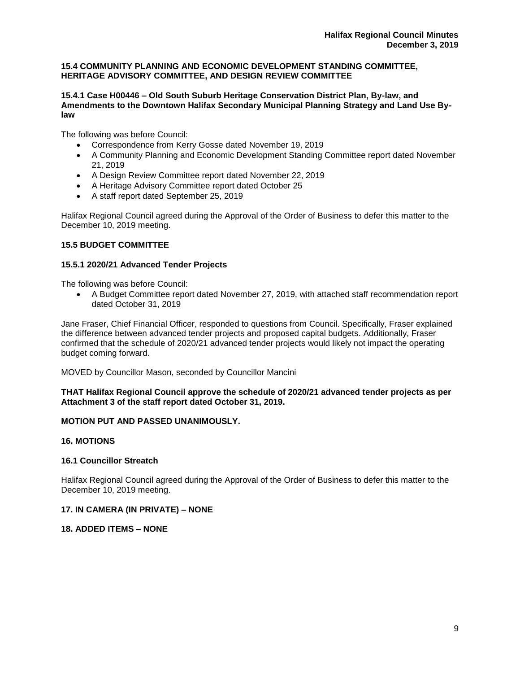# **15.4 COMMUNITY PLANNING AND ECONOMIC DEVELOPMENT STANDING COMMITTEE, HERITAGE ADVISORY COMMITTEE, AND DESIGN REVIEW COMMITTEE**

# **15.4.1 Case H00446 – Old South Suburb Heritage Conservation District Plan, By-law, and Amendments to the Downtown Halifax Secondary Municipal Planning Strategy and Land Use Bylaw**

The following was before Council:

- Correspondence from Kerry Gosse dated November 19, 2019
- A Community Planning and Economic Development Standing Committee report dated November 21, 2019
- A Design Review Committee report dated November 22, 2019
- A Heritage Advisory Committee report dated October 25
- A staff report dated September 25, 2019

Halifax Regional Council agreed during the Approval of the Order of Business to defer this matter to the December 10, 2019 meeting.

# **15.5 BUDGET COMMITTEE**

# **15.5.1 2020/21 Advanced Tender Projects**

The following was before Council:

• A Budget Committee report dated November 27, 2019, with attached staff recommendation report dated October 31, 2019

Jane Fraser, Chief Financial Officer, responded to questions from Council. Specifically, Fraser explained the difference between advanced tender projects and proposed capital budgets. Additionally, Fraser confirmed that the schedule of 2020/21 advanced tender projects would likely not impact the operating budget coming forward.

MOVED by Councillor Mason, seconded by Councillor Mancini

# **THAT Halifax Regional Council approve the schedule of 2020/21 advanced tender projects as per Attachment 3 of the staff report dated October 31, 2019.**

# **MOTION PUT AND PASSED UNANIMOUSLY.**

# **16. MOTIONS**

# **16.1 Councillor Streatch**

Halifax Regional Council agreed during the Approval of the Order of Business to defer this matter to the December 10, 2019 meeting.

# **17. IN CAMERA (IN PRIVATE) – NONE**

# **18. ADDED ITEMS – NONE**